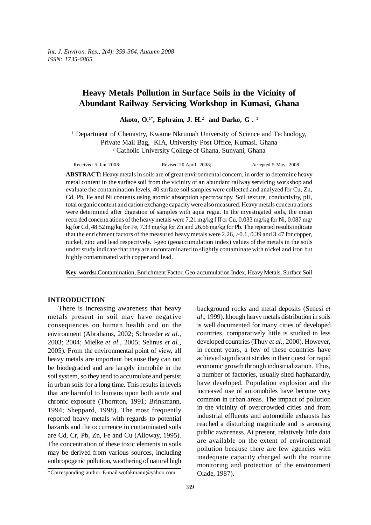# **Heavy Metals Pollution in Surface Soils in the Vicinity of Abundant Railway Servicing Workshop in Kumasi, Ghana**

**Akoto, O.1\*, Ephraim, J. H.2 and Darko, G . 1**

<sup>1</sup> Department of Chemistry, Kwame Nkrumah University of Science and Technology, Private Mail Bag, KIA, University Post Office, Kumasi. Ghana 2 Catholic University College of Ghana, Sunyani, Ghana

| Received 5 Jan 2008: | Revised 20 April 2008; | Accepted 5 May 2008 |
|----------------------|------------------------|---------------------|
|----------------------|------------------------|---------------------|

**ABSTRACT:** Heavy metals in soils are of great environmental concern, in order to determine heavy metal content in the surface soil from the vicinity of an abundant railway servicing workshop and evaluate the contamination levels, 40 surface soil samples were collected and analyzed for Cu, Zn, Cd, Pb, Fe and Ni contents using atomic absorption spectroscopy. Soil texture, conductivity, pH, total organic content and cation exchange capacity were also measured. Heavy metals concentrations were determined after digestion of samples with aqua regia. In the investigated soils, the mean recorded concentrations of the heavy metals were 7.21 mg/kg f ff or Cu, 0.033 mg/kg for Ni, 0.087 mg/ kg for Cd, 48.52 mg/kg for Fe, 7.33 mg/kg for Zn and 26.66 mg/kg for Pb. The reported results indicate that the enrichment factors of the measured heavy metals were 2.26, >0.1, 0.39 and 3.47 for copper, nickel, zinc and lead respectively. I-geo (geoaccumulation index) values of the metals in the soils under study indicate that they are uncontaminated to slightly contaminate with nickel and iron but highly contaminated with copper and lead.

**Key words:** Contamination, Enrichment Factor, Geo-accumulation Index, Heavy Metals, Surface Soil

# **INTRODUCTION**

There is increasing awareness that heavy metals present in soil may have negative consequences on human health and on the environment (Abrahams, 2002; Schroeder *et al.*, 2003; 2004; Mielke *et al.*, 2005; Selinus *et al.*, 2005). From the environmental point of view, all heavy metals are important because they can not be biodegraded and are largely immobile in the soil system, so they tend to accumulate and persist in urban soils for a long time. This results in levels that are harmful to humans upon both acute and chronic exposure (Thornton, 1991; Brinkmann, 1994; Sheppard, 1998). The most frequently reported heavy metals with regards to potential hazards and the occurrence in contaminated soils are Cd, Cr, Pb, Zn, Fe and Cu (Alloway, 1995). The concentration of these toxic elements in soils may be derived from various sources, including anthropogenic pollution, weathering of natural high background rocks and metal deposits (Senesi *et al*., 1999). lthough heavy metals distribution in soils is well documented for many cities of developed countries, comparatively little is studied in less developed countries (Thuy *et al.,* 2000). However, in recent years, a few of these countries have achieved significant strides in their quest for rapid economic growth through industrialization. Thus, a number of factories, usually sited haphazardly, have developed. Population explosion and the increased use of automobiles have become very common in urban areas. The impact of pollution in the vicinity of overcrowded cities and from industrial effluents and automobile exhausts has reached a disturbing magnitude and is arousing public awareness. At present, relatively little data are available on the extent of environmental pollution because there are few agencies with inadequate capacity charged with the routine monitoring and protection of the environment Olade, 1987).

<sup>\*</sup>Corresponding author E-mail:wofakmann@yahoo.com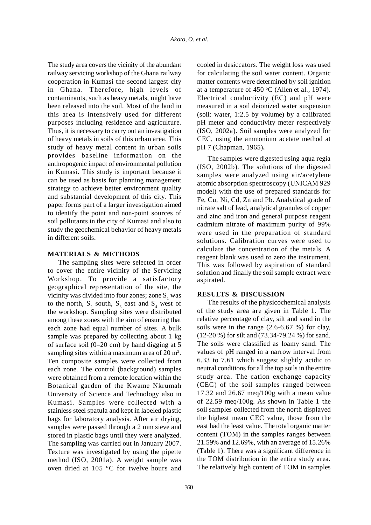The study area covers the vicinity of the abundant railway servicing workshop of the Ghana railway cooperation in Kumasi the second largest city in Ghana. Therefore, high levels of contaminants, such as heavy metals, might have been released into the soil. Most of the land in this area is intensively used for different purposes including residence and agriculture. Thus, it is necessary to carry out an investigation of heavy metals in soils of this urban area. This study of heavy metal content in urban soils provides baseline information on the anthropogenic impact of environmental pollution in Kumasi. This study is important because it can be used as basis for planning management strategy to achieve better environment quality and substantial development of this city. This paper forms part of a larger investigation aimed to identify the point and non-point sources of soil pollutants in the city of Kumasi and also to study the geochemical behavior of heavy metals in different soils.

## **MATERIALS & METHODS**

The sampling sites were selected in order to cover the entire vicinity of the Servicing Workshop. To provide a satisfactory geographical representation of the site, the vicinity was divided into four zones; zone  $S<sub>1</sub>$  was to the north,  $S_2$  south,  $S_3$  east and  $S_4$  west of the workshop. Sampling sites were distributed among these zones with the aim of ensuring that each zone had equal number of sites. A bulk sample was prepared by collecting about 1 kg of surface soil  $(0-20 \text{ cm})$  by hand digging at 5 sampling sites within a maximum area of  $20 \text{ m}^2$ . Ten composite samples were collected from each zone. The control (background) samples were obtained from a remote location within the Botanical garden of the Kwame Nkrumah University of Science and Technology also in Kumasi. Samples were collected with a stainless steel spatula and kept in labeled plastic bags for laboratory analysis. After air drying, samples were passed through a 2 mm sieve and stored in plastic bags until they were analyzed. The sampling was carried out in January 2007. Texture was investigated by using the pipette method (ISO, 2001a). A weight sample was oven dried at 105 °C for twelve hours and cooled in desiccators. The weight loss was used for calculating the soil water content. Organic matter contents were determined by soil ignition at a temperature of  $450 \degree C$  (Allen et al., 1974). Electrical conductivity (EC) and pH were measured in a soil deionized water suspension (soil: water, 1:2.5 by volume) by a calibrated pH meter and conductivity meter respectively (ISO, 2002a). Soil samples were analyzed for CEC, using the ammonium acetate method at pH 7 (Chapman, 1965)**.**

The samples were digested using aqua regia (ISO, 2002b). The solutions of the digested samples were analyzed using air/acetylene atomic absorption spectroscopy (UNICAM 929 model) with the use of prepared standards for Fe, Cu, Ni, Cd, Zn and Pb. Analytical grade of nitrate salt of lead, analytical granules of copper and zinc and iron and general purpose reagent cadmium nitrate of maximum purity of 99% were used in the preparation of standard solutions. Calibration curves were used to calculate the concentration of the metals. A reagent blank was used to zero the instrument. This was followed by aspiration of standard solution and finally the soil sample extract were aspirated.

# **RESULTS & DISCUSSION**

The results of the physicochemical analysis of the study area are given in Table 1. The relative percentage of clay, silt and sand in the soils were in the range (2.6-6.67 %) for clay, (12-20 %) for silt and (73.34-79.24 %) for sand. The soils were classified as loamy sand. The values of pH ranged in a narrow interval from 6.33 to 7.61 which suggest slightly acidic to neutral conditions for all the top soils in the entire study area. The cation exchange capacity (CEC) of the soil samples ranged between 17.32 and 26.67 meq/100g with a mean value of 22.59 meq/100g. As shown in Table 1 the soil samples collected from the north displayed the highest mean CEC value, those from the east had the least value. The total organic matter content (TOM) in the samples ranges between 21.59% and 12.69%, with an average of 15.26% (Table 1). There was a significant difference in the TOM distribution in the entire study area. The relatively high content of TOM in samples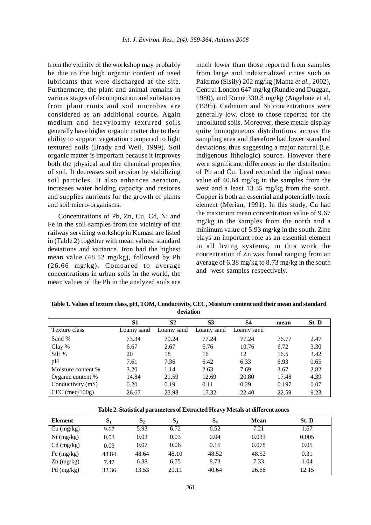from the vicinity of the workshop may probably be due to the high organic content of used lubricants that were discharged at the site. Furthermore, the plant and animal remains in various stages of decomposition and substances from plant roots and soil microbes are considered as an additional source**.** Again medium and heavyloamy textured soils generally have higher organic matter due to their ability to support vegetation compared to light textured soils (Brady and Weil, 1999). Soil organic matter is important because it improves both the physical and the chemical properties of soil. It decreases soil erosion by stabilizing soil particles. It also enhances aeration, increases water holding capacity and restores and supplies nutrients for the growth of plants and soil micro-organisms.

Concentrations of Pb, Zn, Cu, Cd, Ni and Fe in the soil samples from the vicinity of the railway servicing workshop in Kumasi are listed in (Table 2) together with mean values, standard deviations and variance. Iron had the highest mean value (48.52 mg/kg), followed by Pb (26.66 mg/kg). Compared to average concentrations in urban soils in the world, the mean values of the Pb in the analyzed soils are much lower than those reported from samples from large and industrialized cities such as Palermo (Sisily) 202 mg/kg (Manta *et al.,* 2002), Central London 647 mg/kg (Rundle and Duggan, 1980), and Rome 330.8 mg/kg (Angelone et al. (1995). Cadmium and Ni concentrations were generally low, close to those reported for the unpolluted soils. Moreover, these metals display quite homogeneous distributions across the sampling area and therefore had lower standard deviations, thus suggesting a major natural (i.e. indigenous lithologic) source. However there were significant differences in the distribution of Pb and Cu. Lead recorded the highest mean value of 40.64 mg/kg in the samples from the west and a least 13.35 mg/kg from the south. Copper is both an essential and potentially toxic element (Merian, 1991). In this study, Cu had the maximum mean concentration value of 9.67 mg/kg in the samples from the north and a minimum value of 5.93 mg/kg in the south. Zinc plays an important role as an essential element in all living systems, in this work the concentration if Zn was found ranging from an average of 6.38 mg/kg to 8.73 mg/kg in the south and west samples respectively.

**Table 1. Values of texture class, pH, TOM, Conductivity, CEC, Moisture content and their mean and standard deviation**

|                    | S1         | S <sub>2</sub> | S <sub>3</sub> | S4         | mean  | St. D |
|--------------------|------------|----------------|----------------|------------|-------|-------|
| Texture class      | Loamy sand | Loamy sand     | Loamy sand     | Loamy sand |       |       |
| Sand %             | 73.34      | 79.24          | 77.24          | 77.24      | 76.77 | 2.47  |
| Clay %             | 6.67       | 2.67           | 6.76           | 10.76      | 6.72  | 3.30  |
| Silt %             | 20         | 18             | 16             | 12         | 16.5  | 3.42  |
| pH                 | 7.61       | 7.36           | 6.42           | 6.33       | 6.93  | 0.65  |
| Moisture content % | 3.20       | 1.14           | 2.63           | 7.69       | 3.67  | 2.82  |
| Organic content %  | 14.84      | 21.59          | 12.69          | 20.80      | 17.48 | 4.39  |
| Conductivity (mS)  | 0.20       | 0.19           | 0.11           | 0.29       | 0.197 | 0.07  |
| $CEC$ (meq/100g)   | 26.67      | 23.98          | 17.32          | 22.40      | 22.59 | 9.23  |

**Table 2. Statistical parameters of Extracted Heavy Metals at different zones**

| <b>Element</b> | $S_1$ | $S_{2}$ | $\mathbf{S}_3$ | $S_4$ | <b>Mean</b> | St. D |
|----------------|-------|---------|----------------|-------|-------------|-------|
| $Cu$ (mg/kg)   | 9.67  | 5.93    | 6.72           | 6.52  | 7.21        | 1.67  |
| Ni (mg/kg)     | 0.03  | 0.03    | 0.03           | 0.04  | 0.033       | 0.005 |
| $Cd$ (mg/kg)   | 0.03  | 0.07    | 0.06           | 0.15  | 0.078       | 0.05  |
| Fe $(mg/kg)$   | 48.84 | 48.64   | 48.10          | 48.52 | 48.52       | 0.31  |
| $Zn$ (mg/kg)   | 7.47  | 6.38    | 6.75           | 8.73  | 7.33        | 1.04  |
| $Pd$ (mg/kg)   | 32.36 | 13.53   | 20.11          | 40.64 | 26.66       | 12.15 |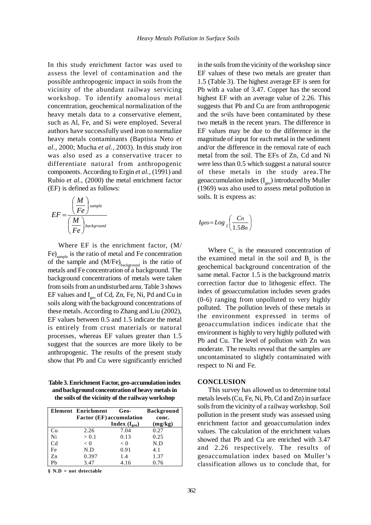In this study enrichment factor was used to assess the level of contamination and the possible anthropogenic impact in soils from the vicinity of the abundant railway servicing workshop. To identify anomalous metal concentration, geochemical normalization of the heavy metals data to a conservative element, such as Al, Fe, and Si were employed. Several authors have successfully used iron to normalize heavy metals contaminants (Baptista Neto *et al*., 2000; Mucha *et al.,* 2003). In this study iron was also used as a conservative tracer to differentiate natural from anthropogenic components. According to Ergin *et al.,* (1991) and Rubio *et al.,* (2000) the metal enrichment factor (EF) is defined as follows:

$$
EF = \frac{\left(\frac{M}{Fe}\right)^{sample}}{\left(\frac{M}{Fe}\right)^{background}}
$$

Where EF is the enrichment factor, (M/ Fe)<sub>sample</sub> is the ratio of metal and Fe concentration of the sample and  $(M/Fe)_{background}$  is the ratio of metals and Fe concentration of a background. The background concentrations of metals were taken from soils from an undisturbed area. Table 3 shows EF values and  $I_{geo}$  of Cd, Zn, Fe, Ni, Pd and Cu in soils along with the background concentrations of these metals. According to Zhang and Liu (2002), EF values between 0.5 and 1.5 indicate the metal is entirely from crust materials or natural processes, whereas EF values greater than 1.5 suggest that the sources are more likely to be anthropogenic. The results of the present study show that Pb and Cu were significantly enriched

**Table 3. Enrichment Factor, geo-accumulation index and background concentration of heavy metals in the soils of the vicinity of the railway workshop**

|                | Element Enrichment              | Geo-                     | <b>Background</b> |
|----------------|---------------------------------|--------------------------|-------------------|
|                | <b>Factor (EF)</b> accumulation | conc.                    |                   |
|                |                                 | <b>Index</b> $(I_{geo})$ | (mg/kg)           |
| Cu             | 2.26                            | 7.04                     | 0.27              |
| Ni             | > 0.1                           | 0.13                     | 0.25              |
| C <sub>d</sub> | < 0                             | < 0                      | N.D               |
| Fe             | N.D                             | 0.91                     | 4.1               |
| Zn             | 0.397                           | 1.4                      | 1.37              |
| Pb             | 3.47                            | 4.16                     | 0.76              |

**§ N.D = not detectable**

in the soils from the vicinity of the workshop since EF values of these two metals are greater than 1.5 (Table 3). The highest average EF is seen for Pb with a value of 3.47. Copper has the second highest EF with an average value of 2.26. This suggests that Pb and Cu are from anthropogenic and the soils have been contaminated by these two metals in the recent years. The difference in EF values may be due to the difference in the magnitude of input for each metal in the sediment and/or the difference in the removal rate of each metal from the soil. The EFs of Zn, Cd and Ni were less than 0.5 which suggest a natural source of these metals in the study area.The geoaccumulation index  $(I_{\infty})$  introduced by Muller (1969) was also used to assess metal pollution in soils. It is express as:

$$
Igeo = Log_2\left(\frac{Cn}{1.5Bn}\right)
$$

Where  $C_n$  is the measured concentration of the examined metal in the soil and  $B_n$  is the geochemical background concentration of the same metal. Factor 1.5 is the background matrix correction factor due to lithogenic effect. The index of geoaccumulation includes seven grades (0-6) ranging from unpolluted to very highly polluted. The pollution levels of these metals in the environment expressed in terms of geoaccumulation indices indicate that the environment is highly to very highly polluted with Pb and Cu. The level of pollution with Zn was moderate. The results reveal that the samples are uncontaminated to slightly contaminated with respect to Ni and Fe.

#### **CONCLUSION**

This survey has allowed us to determine total metals levels (Cu, Fe, Ni, Pb, Cd and Zn) in surface soils from the vicinity of a railway workshop. Soil pollution in the present study was assessed using enrichment factor and geoaccumulation index values. The calculation of the enrichment values showed that Pb and Cu are enriched with 3.47 and 2.26 respectively. The results of geoaccumulation index based on Muller's classification allows us to conclude that, for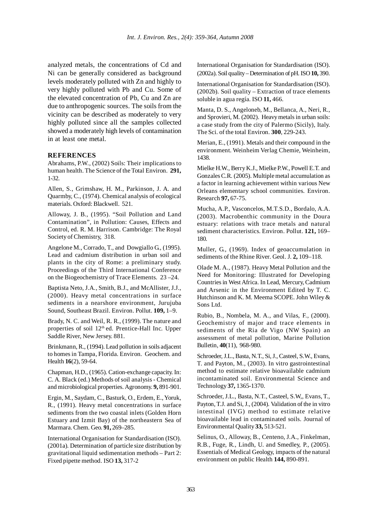analyzed metals, the concentrations of Cd and Ni can be generally considered as background levels moderately polluted with Zn and highly to very highly polluted with Pb and Cu. Some of the elevated concentration of Pb, Cu and Zn are due to anthropogenic sources. The soils from the vicinity can be described as moderately to very highly polluted since all the samples collected showed a moderately high levels of contamination in at least one metal.

### **REFERENCES**

Abrahams, P.W., (2002) Soils: Their implications to human health. The Science of the Total Environ. **291,** 1-32.

Allen, S., Grimshaw, H. M., Parkinson, J. A. and Quarmby, C., (1974). Chemical analysis of ecological materials. Oxford: Blackwell. 521.

Alloway, J. B., (1995). "Soil Pollution and Land Contamination", in Pollution: Causes, Effects and Control, ed. R. M. Harrison. Cambridge: The Royal Society of Chemistry, 318.

Angelone M., Corrado, T., and Dowgiallo G., (1995). Lead and cadmium distribution in urban soil and plants in the city of Rome: a preliminary study. Proceedings of the Third International Conference on the Biogeochemistry of Trace Elements. 23 –24.

Baptista Neto, J.A., Smith, B.J., and McAllister, J.J., (2000). Heavy metal concentrations in surface sediments in a nearshore environment, Jurujuba Sound, Southeast Brazil. Environ. Pollut. **109,** 1–9.

Brady, N. C. and Weil, R. R., (1999). The nature and properties of soil 12<sup>th</sup> ed. Prentice-Hall Inc. Upper Saddle River, New Jersey. 881.

Brinkmann, R., (1994). Lead pollution in soils adjacent to homes in Tampa, Florida. Environ. Geochem. and Health **16**(2), 59-64.

Chapman, H.D., (1965). Cation-exchange capacity. In: C. A. Black (ed.) Methods of soil analysis - Chemical and microbiological properties. Agronomy. **9,** 891-901.

Ergin, M., Saydam, C., Basturk, O., Erdem, E., Yoruk, R., (1991). Heavy metal concentrations in surface sediments from the two coastal inlets (Golden Horn Estuary and Izmit Bay) of the northeastern Sea of Marmara. Chem. Geo. **91,** 269–285.

International Organisation for Standardisation (ISO). (2001a). Determination of particle size distribution by gravitational liquid sedimentation methods – Part 2: Fixed pipette method. ISO **13,** 317-2

International Organisation for Standardisation (ISO). (2002a). Soil quality – Determination of pH. ISO **10,** 390.

International Organisation for Standardisation (ISO). (2002b). Soil quality – Extraction of trace elements soluble in agua regía. ISO **11,** 466.

Manta, D. S., Angeloneb, M., Bellanca, A., Neri, R., and Sprovieri, M. (2002). Heavy metals in urban soils: a case study from the city of Palermo (Sicily), Italy. The Sci. of the total Environ. **300**, 229-243.

Merian, E., (1991). Metals and their compound in the environment. Weinheim Verlag Chemie, Weinheim, 1438.

Mielke H.W., Berry K.J., Mielke P.W., Powell E.T. and Gonzales C.R. (2005). Multiple metal accumulation as a factor in learning achievement within various New Orleans elementary school communities. Environ. Research **97,** 67-75.

Mucha, A.P., Vasconcelos, M.T.S.D., Bordalo, A.A. (2003). Macrobenthic community in the Doura estuary: relations with trace metals and natural sediment characteristics. Environ. Pollut. **121,** 169– 180.

Muller, G., (1969). Index of geoaccumulation in sediments of the Rhine River. Geol. J. **2,** 109–118.

Olade M. A., (1987). Heavy Metal Pollution and the Need for Monitoring: Illustrated for Developing Countries in West Africa. In Lead, Mercury, Cadmium and Arsenic in the Environment Edited by T. C. Hutchinson and K. M. Meema SCOPE. John Wiley & Sons Ltd.

Rubio, B., Nombela, M. A., and Vilas, F., (2000). Geochemistry of major and trace elements in sediments of the Ria de Vigo (NW Spain) an assessment of metal pollution, Marine Pollution Bulletin, **40**(11), 968-980.

Schroeder, J.L., Basta, N.T., Si, J., Casteel, S.W., Evans, T. and Payton, M., (2003). In vitro gastrointestinal method to estimate relative bioavailable cadmium incontaminated soil. Environmental Science and Technology **37,** 1365-1370.

Schroeder, J.L., Basta, N.T., Casteel, S.W,, Evans, T., Payton, T.J. and Si, J., (2004). Validation of the in vitro intestinal (IVG) method to estimate relative bioavailable lead in contaminated soils. Journal of Environmental Quality **33,** 513-521.

Selinus, O., Alloway, B., Centeno, J.A., Finkelman, R.B., Fuge, R., Lindh, U. and Smedley, P., (2005). Essentials of Medical Geology, impacts of the natural environment on public Health **144,** 890-891.